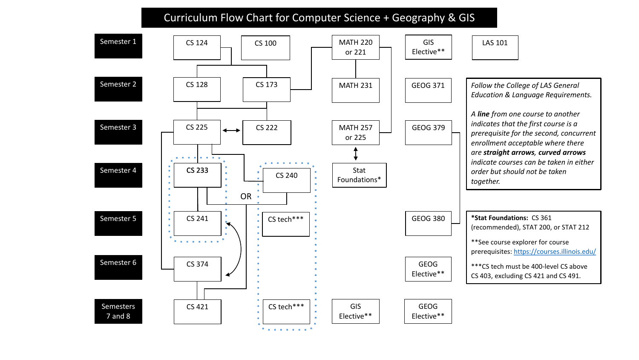## Curriculum Flow Chart for Computer Science + Geography & GIS